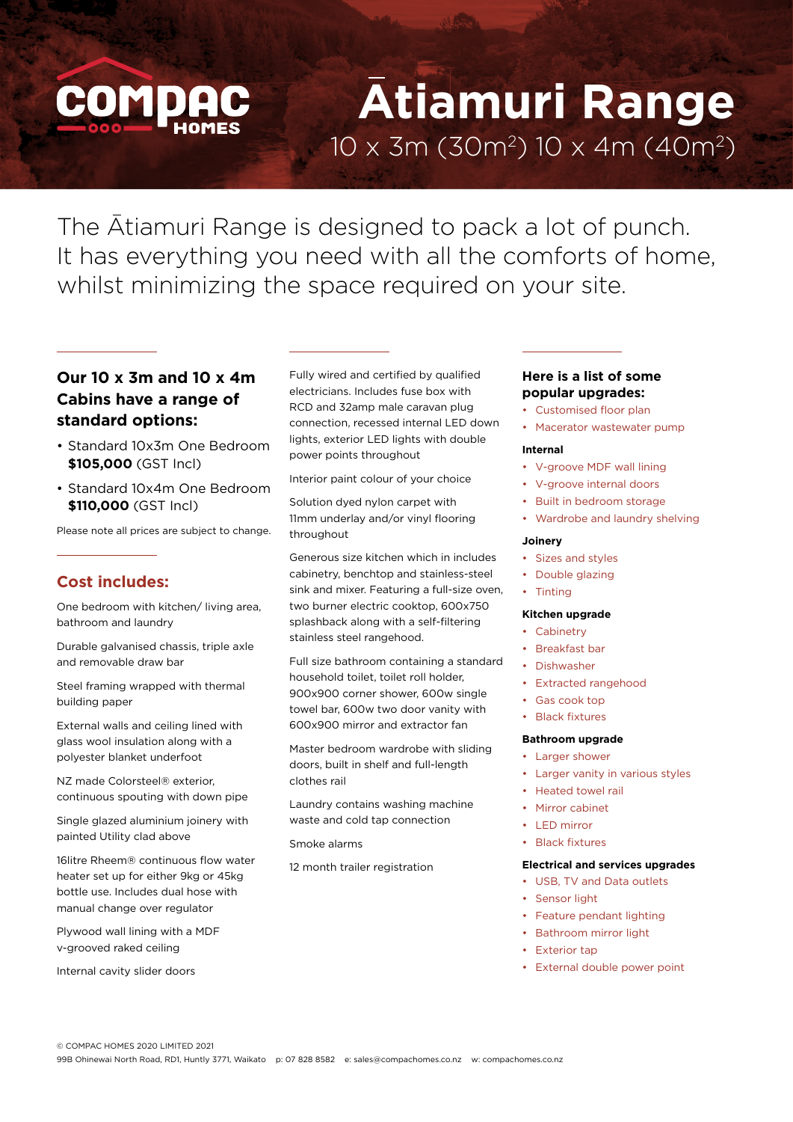# **Atiamuri Range**  $10 \times 3m$  (30m<sup>2</sup>)  $10 \times 4m$  (40m<sup>2</sup>)

The Atiamuri Range is designed to pack a lot of punch. It has everything you need with all the comforts of home, whilst minimizing the space required on your site.

# **Our 10 x 3m and 10 x 4m Cabins have a range of standard options:**

- Standard 10x3m One Bedroom **\$105,000** (GST Incl)
- Standard 10x4m One Bedroom **\$110,000** (GST Incl)

Please note all prices are subject to change.

## **Cost includes:**

One bedroom with kitchen/ living area, bathroom and laundry

Durable galvanised chassis, triple axle and removable draw bar

Steel framing wrapped with thermal building paper

External walls and ceiling lined with glass wool insulation along with a polyester blanket underfoot

NZ made Colorsteel® exterior, continuous spouting with down pipe

Single glazed aluminium joinery with painted Utility clad above

16litre Rheem® continuous flow water heater set up for either 9kg or 45kg bottle use. Includes dual hose with manual change over regulator

Plywood wall lining with a MDF v-grooved raked ceiling

Internal cavity slider doors

Fully wired and certified by qualified electricians. Includes fuse box with RCD and 32amp male caravan plug connection, recessed internal LED down lights, exterior LED lights with double power points throughout

Interior paint colour of your choice

Solution dyed nylon carpet with 11mm underlay and/or vinyl flooring throughout

Generous size kitchen which in includes cabinetry, benchtop and stainless-steel sink and mixer. Featuring a full-size oven, two burner electric cooktop, 600x750 splashback along with a self-filtering stainless steel rangehood.

Full size bathroom containing a standard household toilet, toilet roll holder, 900x900 corner shower, 600w single towel bar, 600w two door vanity with 600x900 mirror and extractor fan

Master bedroom wardrobe with sliding doors, built in shelf and full-length clothes rail

Laundry contains washing machine waste and cold tap connection

Smoke alarms

12 month trailer registration

## **Here is a list of some popular upgrades:**

- Customised floor plan
- Macerator wastewater pump

### **Internal**

- V-groove MDF wall lining
- V-groove internal doors
- Built in bedroom storage
- Wardrobe and laundry shelving

#### **Joinery**

- Sizes and styles
- Double glazing
- Tinting

#### **Kitchen upgrade**

- Cabinetry
- Breakfast bar
- Dishwasher
- Extracted rangehood
- Gas cook top
- **Black fixtures**

### **Bathroom upgrade**

- Larger shower
- Larger vanity in various styles
- Heated towel rail
- **Mirror cabinet**
- LED mirror
- Black fixtures

#### **Electrical and services upgrades**

- USB, TV and Data outlets
- Sensor light
- Feature pendant lighting
- Bathroom mirror light
- Exterior tap
- External double power point